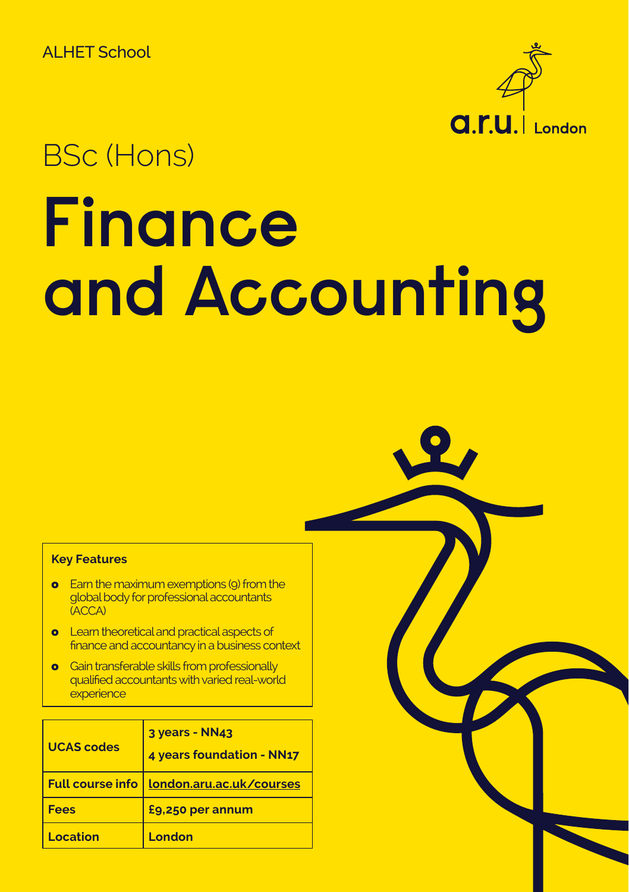ALHET School



# BSc (Hons)

# **Finance and Accounting**

#### **Key Features**

- **o** Earn the maximum exemptions (9) from the global body for professional accountants (ACCA)
- **o** Learn theoretical and practical aspects of finance and accountancy in a business context
- **o** Gain transferable skills from professionally qualified accountants with varied real-world **experience**

| <b>UCAS codes</b> | 3 years - NN43<br>4 years foundation - NN17 |
|-------------------|---------------------------------------------|
|                   | Full course info   london.aru.ac.uk/courses |
| <b>Fees</b>       | £9,250 per annum                            |
| Location          | London                                      |